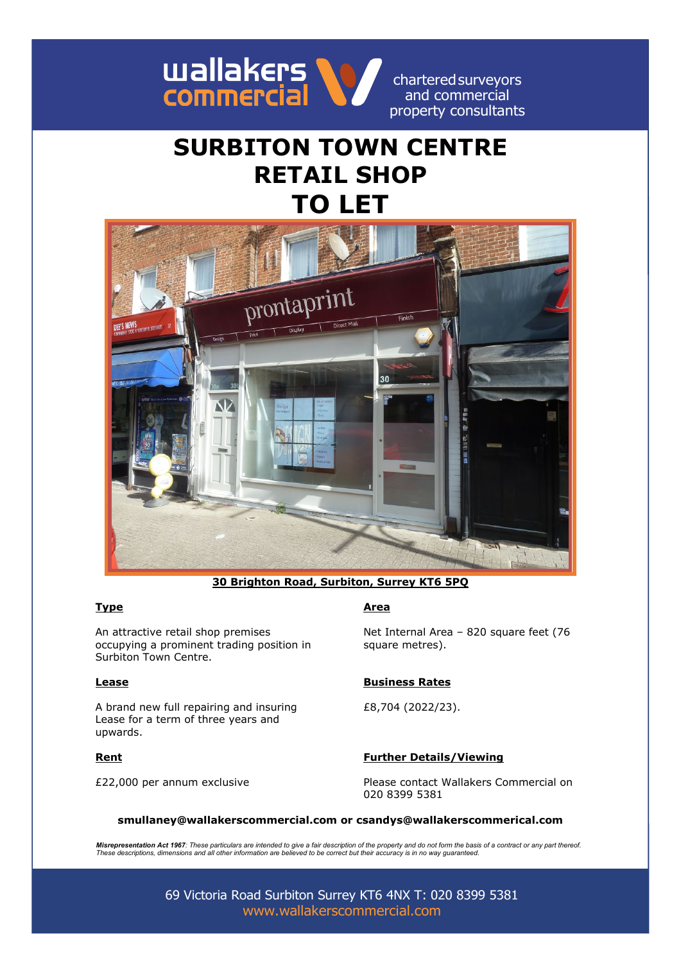

charteredsurveyors and commercial property consultants

# **SURBITON TOWN CENTRE RETAIL SHOP TO LET**



**30 Brighton Road, Surbiton, Surrey KT6 5PQ**

An attractive retail shop premises occupying a prominent trading position in Surbiton Town Centre.

A brand new full repairing and insuring Lease for a term of three years and upwards.

### **Type Area**

Net Internal Area – 820 square feet (76 square metres).

### **Lease Business Rates**

£8,704 (2022/23).

### **Rent Further Details/Viewing**

£22,000 per annum exclusive Please contact Wallakers Commercial on 020 8399 5381

### **smullaney@wallakerscommercial.com or csandys@wallakerscommerical.com**

*Misrepresentation Act 1967: These particulars are intended to give a fair description of the property and do not form the basis of a contract or any part thereof. These descriptions, dimensions and all other information are believed to be correct but their accuracy is in no way guaranteed.*

> 69 Victoria Road Surbiton Surrey KT6 4NX T: 020 8399 5381 [www.wallakerscommercial.com](http://www.wallakerscommercial.com/)